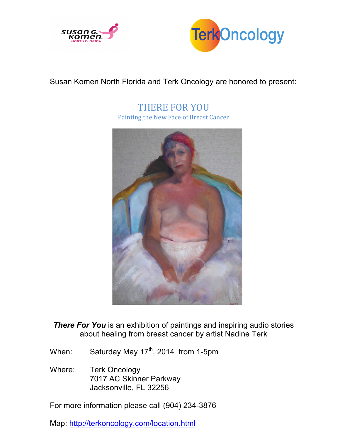



## Susan Komen North Florida and Terk Oncology are honored to present:

THERE FOR YOU Painting the New Face of Breast Cancer



**There For You** is an exhibition of paintings and inspiring audio stories about healing from breast cancer by artist Nadine Terk

- When: Saturday May 17<sup>th</sup>, 2014 from 1-5pm
- Where: Terk Oncology 7017 AC Skinner Parkway Jacksonville, FL 32256

For more information please call (904) 234-3876

Map: http://terkoncology.com/location.html